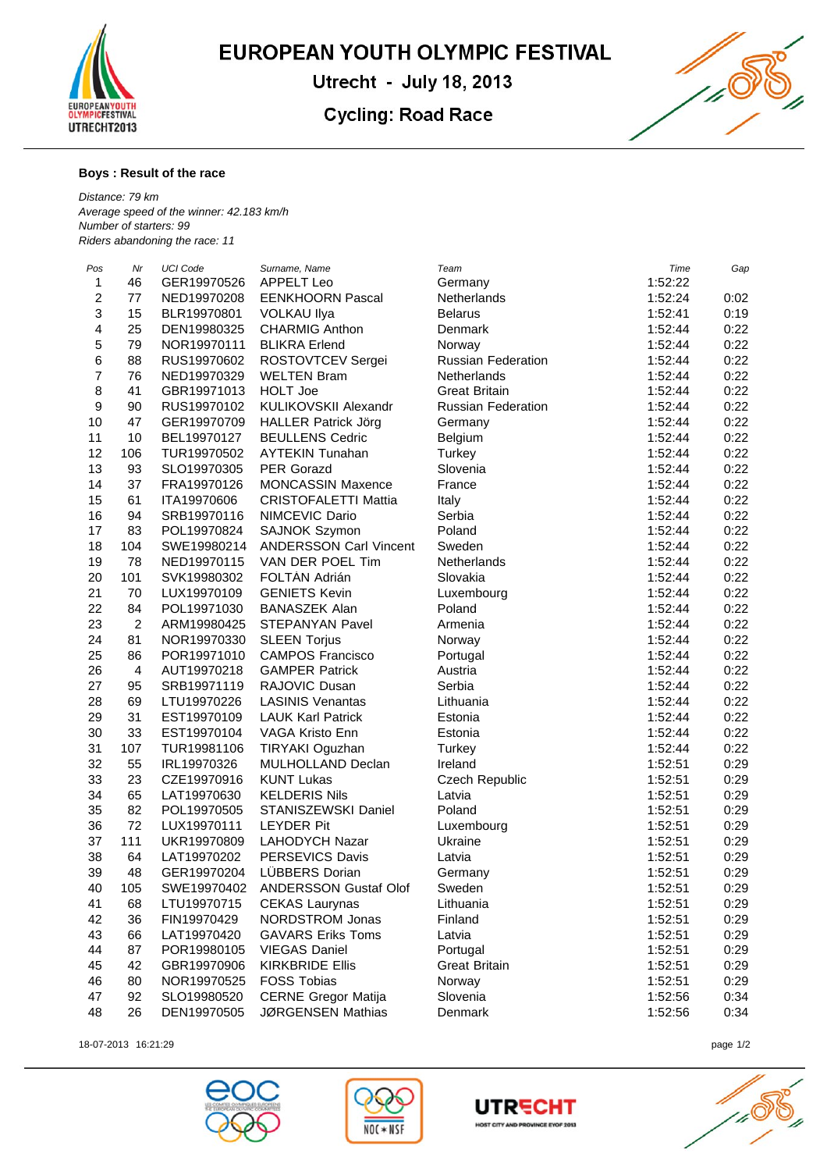

EUROPEAN YOUTH OLYMPIC FESTIVAL

Utrecht - July 18, 2013

## **Cycling: Road Race**



## **Boys : Result of the race**

*Distance: 79 km Average speed of the winner: 42.183 km/h Number of starters: 99 Riders abandoning the race: 11*

| Pos              | Nr             | UCI Code    | Surname, Name                 | Team                      | Time    | Gap  |
|------------------|----------------|-------------|-------------------------------|---------------------------|---------|------|
| $\mathbf{1}$     | 46             | GER19970526 | <b>APPELT Leo</b>             | Germany                   | 1:52:22 |      |
| $\overline{c}$   | 77             | NED19970208 | <b>EENKHOORN Pascal</b>       | Netherlands               | 1:52:24 | 0:02 |
| 3                | 15             | BLR19970801 | <b>VOLKAU Ilya</b>            | <b>Belarus</b>            | 1:52:41 | 0:19 |
| 4                | 25             | DEN19980325 | <b>CHARMIG Anthon</b>         | Denmark                   | 1:52:44 | 0:22 |
| 5                | 79             | NOR19970111 | <b>BLIKRA Erlend</b>          | Norway                    | 1:52:44 | 0:22 |
| $\,6$            | 88             | RUS19970602 | ROSTOVTCEV Sergei             | <b>Russian Federation</b> | 1:52:44 | 0:22 |
| $\overline{7}$   | 76             | NED19970329 | <b>WELTEN Bram</b>            | Netherlands               | 1:52:44 | 0:22 |
| 8                | 41             | GBR19971013 | <b>HOLT Joe</b>               | <b>Great Britain</b>      | 1:52:44 | 0:22 |
| $\boldsymbol{9}$ | 90             | RUS19970102 | KULIKOVSKII Alexandr          | <b>Russian Federation</b> | 1:52:44 | 0:22 |
| 10               | 47             | GER19970709 | <b>HALLER Patrick Jörg</b>    | Germany                   | 1:52:44 | 0:22 |
| 11               | 10             | BEL19970127 | <b>BEULLENS Cedric</b>        | Belgium                   | 1:52:44 | 0:22 |
| 12               | 106            | TUR19970502 | <b>AYTEKIN Tunahan</b>        | Turkey                    | 1:52:44 | 0:22 |
| 13               | 93             | SLO19970305 | <b>PER Gorazd</b>             | Slovenia                  | 1:52:44 | 0:22 |
| 14               | 37             | FRA19970126 | <b>MONCASSIN Maxence</b>      | France                    | 1:52:44 | 0:22 |
| 15               | 61             | ITA19970606 | <b>CRISTOFALETTI Mattia</b>   | Italy                     | 1:52:44 | 0:22 |
| 16               | 94             | SRB19970116 | NIMCEVIC Dario                | Serbia                    | 1:52:44 | 0:22 |
| 17               | 83             | POL19970824 | SAJNOK Szymon                 | Poland                    | 1:52:44 | 0:22 |
| 18               | 104            | SWE19980214 | <b>ANDERSSON Carl Vincent</b> | Sweden                    | 1:52:44 | 0:22 |
| 19               | 78             | NED19970115 | VAN DER POEL Tim              | <b>Netherlands</b>        | 1:52:44 | 0:22 |
| 20               | 101            | SVK19980302 | FOLTÁN Adrián                 | Slovakia                  | 1:52:44 | 0:22 |
| 21               | 70             | LUX19970109 | <b>GENIETS Kevin</b>          | Luxembourg                | 1:52:44 | 0:22 |
| 22               | 84             | POL19971030 | <b>BANASZEK Alan</b>          | Poland                    | 1:52:44 | 0:22 |
| 23               | $\overline{2}$ | ARM19980425 | STEPANYAN Pavel               | Armenia                   | 1:52:44 | 0:22 |
| 24               | 81             | NOR19970330 | <b>SLEEN Torjus</b>           | Norway                    | 1:52:44 | 0:22 |
| 25               | 86             | POR19971010 | <b>CAMPOS Francisco</b>       | Portugal                  | 1:52:44 | 0:22 |
| 26               | $\overline{4}$ | AUT19970218 | <b>GAMPER Patrick</b>         | Austria                   | 1:52:44 | 0:22 |
| 27               | 95             | SRB19971119 | RAJOVIC Dusan                 | Serbia                    | 1:52:44 | 0:22 |
| 28               | 69             | LTU19970226 | <b>LASINIS Venantas</b>       | Lithuania                 | 1:52:44 | 0:22 |
| 29               | 31             | EST19970109 | <b>LAUK Karl Patrick</b>      | Estonia                   | 1:52:44 | 0:22 |
| 30               | 33             | EST19970104 | VAGA Kristo Enn               | Estonia                   | 1:52:44 | 0:22 |
| 31               | 107            | TUR19981106 | TIRYAKI Oguzhan               | Turkey                    | 1:52:44 | 0:22 |
| 32               | 55             | IRL19970326 | MULHOLLAND Declan             | Ireland                   | 1:52:51 | 0:29 |
| 33               | 23             | CZE19970916 | <b>KUNT Lukas</b>             | Czech Republic            | 1:52:51 | 0:29 |
| 34               | 65             | LAT19970630 | <b>KELDERIS Nils</b>          | Latvia                    | 1:52:51 | 0:29 |
| 35               | 82             | POL19970505 | STANISZEWSKI Daniel           | Poland                    | 1:52:51 | 0:29 |
| 36               | 72             | LUX19970111 | <b>LEYDER Pit</b>             | Luxembourg                | 1:52:51 | 0:29 |
| 37               | 111            | UKR19970809 | <b>LAHODYCH Nazar</b>         | Ukraine                   | 1:52:51 | 0:29 |
| 38               | 64             | LAT19970202 | PERSEVICS Davis               | Latvia                    | 1:52:51 | 0:29 |
| 39               | 48             | GER19970204 | LÜBBERS Dorian                | Germany                   | 1:52:51 | 0:29 |
| 40               | 105            | SWE19970402 | ANDERSSON Gustaf Olof         | Sweden                    | 1:52:51 | 0:29 |
| 41               | 68             | LTU19970715 | <b>CEKAS Laurynas</b>         | Lithuania                 | 1:52:51 | 0:29 |
| 42               | 36             | FIN19970429 | NORDSTROM Jonas               | Finland                   | 1:52:51 | 0:29 |
| 43               | 66             | LAT19970420 | <b>GAVARS Eriks Toms</b>      | Latvia                    | 1:52:51 | 0:29 |
| 44               | 87             | POR19980105 | <b>VIEGAS Daniel</b>          | Portugal                  | 1:52:51 | 0:29 |
| 45               | 42             | GBR19970906 | <b>KIRKBRIDE Ellis</b>        | <b>Great Britain</b>      | 1:52:51 | 0:29 |
| 46               | 80             | NOR19970525 | <b>FOSS Tobias</b>            | Norway                    | 1:52:51 | 0:29 |
| 47               | 92             | SLO19980520 | <b>CERNE Gregor Matija</b>    | Slovenia                  | 1:52:56 | 0:34 |
| 48               | 26             | DEN19970505 | JØRGENSEN Mathias             | Denmark                   | 1:52:56 | 0:34 |
|                  |                |             |                               |                           |         |      |

18-07-2013 16:21:29 page 1/2